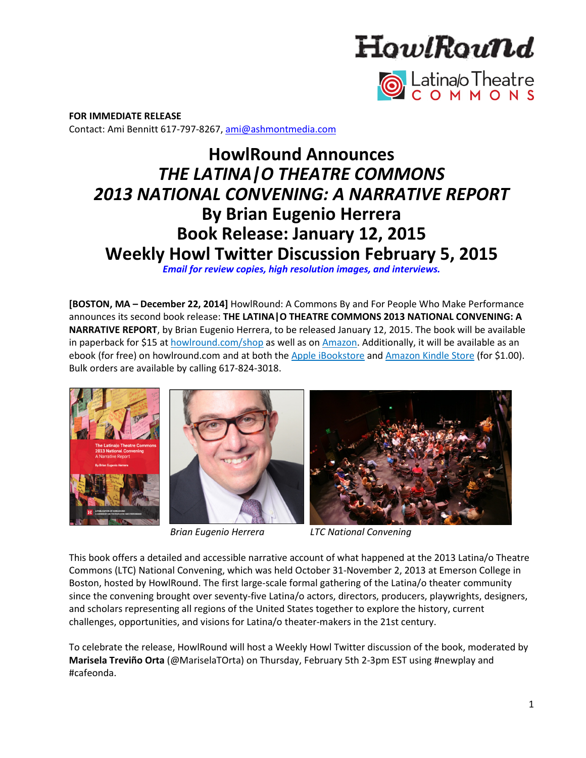



**FOR IMMEDIATE RELEASE**  Contact: Ami Bennitt 617‐797‐8267, ami@ashmontmedia.com

# **HowlRound Announces**  *THE LATINA|O THEATRE COMMONS 2013 NATIONAL CONVENING: A NARRATIVE REPORT* **By Brian Eugenio Herrera Book Release: January 12, 2015 Weekly Howl Twitter Discussion February 5, 2015**

*Email for review copies, high resolution images, and interviews.*

**[BOSTON, MA – December 22, 2014]** HowlRound: A Commons By and For People Who Make Performance announces its second book release: **THE LATINA|O THEATRE COMMONS 2013 NATIONAL CONVENING: A NARRATIVE REPORT**, by Brian Eugenio Herrera, to be released January 12, 2015. The book will be available in paperback for \$15 at howlround.com/shop as well as on Amazon. Additionally, it will be available as an ebook (for free) on howlround.com and at both the Apple iBookstore and Amazon Kindle Store (for \$1.00). Bulk orders are available by calling 617‐824‐3018.







 *Brian Eugenio Herrera LTC National Convening* 

This book offers a detailed and accessible narrative account of what happened at the 2013 Latina/o Theatre Commons (LTC) National Convening, which was held October 31‐November 2, 2013 at Emerson College in Boston, hosted by HowlRound. The first large‐scale formal gathering of the Latina/o theater community since the convening brought over seventy-five Latina/o actors, directors, producers, playwrights, designers, and scholars representing all regions of the United States together to explore the history, current challenges, opportunities, and visions for Latina/o theater‐makers in the 21st century.

To celebrate the release, HowlRound will host a Weekly Howl Twitter discussion of the book, moderated by **Marisela Treviño Orta** (@MariselaTOrta) on Thursday, February 5th 2‐3pm EST using #newplay and #cafeonda.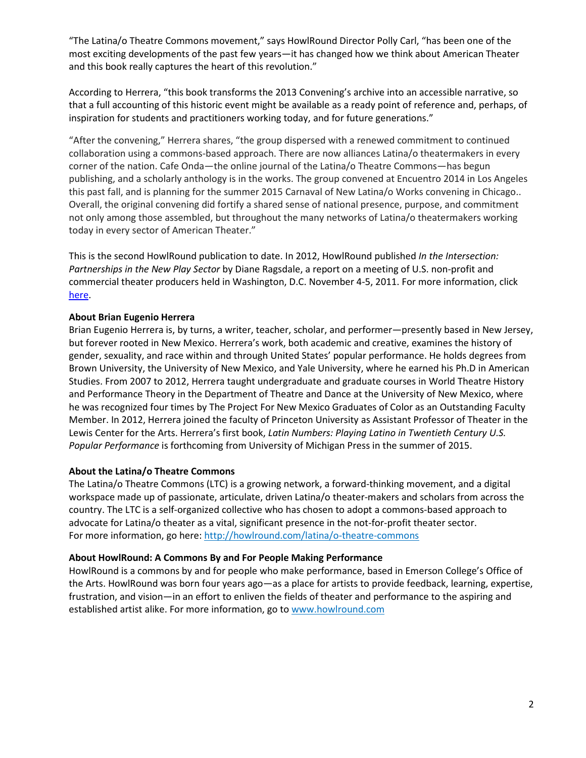"The Latina/o Theatre Commons movement," says HowlRound Director Polly Carl, "has been one of the most exciting developments of the past few years—it has changed how we think about American Theater and this book really captures the heart of this revolution."

According to Herrera, "this book transforms the 2013 Convening's archive into an accessible narrative, so that a full accounting of this historic event might be available as a ready point of reference and, perhaps, of inspiration for students and practitioners working today, and for future generations."

"After the convening," Herrera shares, "the group dispersed with a renewed commitment to continued collaboration using a commons‐based approach. There are now alliances Latina/o theatermakers in every corner of the nation. Cafe Onda—the online journal of the Latina/o Theatre Commons—has begun publishing, and a scholarly anthology is in the works. The group convened at Encuentro 2014 in Los Angeles this past fall, and is planning for the summer 2015 Carnaval of New Latina/o Works convening in Chicago.. Overall, the original convening did fortify a shared sense of national presence, purpose, and commitment not only among those assembled, but throughout the many networks of Latina/o theatermakers working today in every sector of American Theater."

This is the second HowlRound publication to date. In 2012, HowlRound published *In the Intersection: Partnerships in the New Play Sector* by Diane Ragsdale, a report on a meeting of U.S. non‐profit and commercial theater producers held in Washington, D.C. November 4‐5, 2011. For more information, click here.

## **About Brian Eugenio Herrera**

Brian Eugenio Herrera is, by turns, a writer, teacher, scholar, and performer—presently based in New Jersey, but forever rooted in New Mexico. Herrera's work, both academic and creative, examines the history of gender, sexuality, and race within and through United States' popular performance. He holds degrees from Brown University, the University of New Mexico, and Yale University, where he earned his Ph.D in American Studies. From 2007 to 2012, Herrera taught undergraduate and graduate courses in World Theatre History and Performance Theory in the Department of Theatre and Dance at the University of New Mexico, where he was recognized four times by The Project For New Mexico Graduates of Color as an Outstanding Faculty Member. In 2012, Herrera joined the faculty of Princeton University as Assistant Professor of Theater in the Lewis Center for the Arts. Herrera's first book, *Latin Numbers: Playing Latino in Twentieth Century U.S. Popular Performance* is forthcoming from University of Michigan Press in the summer of 2015.

## **About the Latina/o Theatre Commons**

The Latina/o Theatre Commons (LTC) is a growing network, a forward-thinking movement, and a digital workspace made up of passionate, articulate, driven Latina/o theater-makers and scholars from across the country. The LTC is a self‐organized collective who has chosen to adopt a commons‐based approach to advocate for Latina/o theater as a vital, significant presence in the not‐for‐profit theater sector. For more information, go here: http://howlround.com/latina/o-theatre-commons

### **About HowlRound: A Commons By and For People Making Performance**

HowlRound is a commons by and for people who make performance, based in Emerson College's Office of the Arts. HowlRound was born four years ago—as a place for artists to provide feedback, learning, expertise, frustration, and vision—in an effort to enliven the fields of theater and performance to the aspiring and established artist alike. For more information, go to www.howlround.com